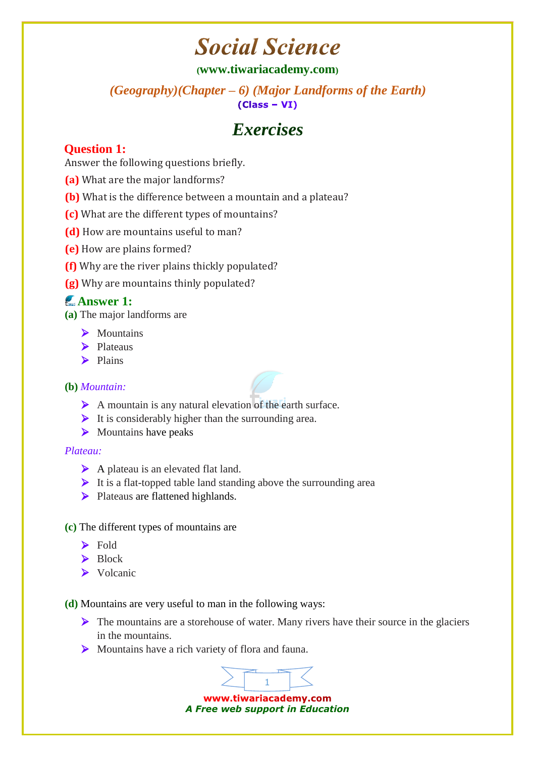## **Social Science**

### **([www.tiwariacademy.com](http://www.tiwariacademy.com/))**

*(Geography)(Chapter – 6) (Major Landforms of the Earth)*   $(Class - VI)$ 

## *Exercises*

## **Question 1:**

Answer the following questions briefly.

- **(a)** What are the major landforms?
- **(b)** What is the difference between a mountain and a plateau?
- **(c)** What are the different types of mountains?
- **(d)** How are mountains useful to man?
- **(e)** How are plains formed?
- **(f)** Why are the river plains thickly populated?
- **(g)** Why are mountains thinly populated?

## **Answer 1:**

**(a)** The major landforms are

- > Mountains
- $\blacktriangleright$  Plateaus
- $\blacktriangleright$  Plains

#### **(b)** *Mountain:*

- A mountain is any natural elevation of the earth surface.
- $\triangleright$  It is considerably higher than the surrounding area.
- $\triangleright$  Mountains have peaks

#### *Plateau:*

- A plateau is an elevated flat land.
- $\triangleright$  It is a flat-topped table land standing above the surrounding area
- **Plateaus are flattened highlands.**

#### **(c)** The different types of mountains are

- $\blacktriangleright$  Fold
- > Block
- $\triangleright$  Volcanic

**(d)** Mountains are very useful to man in the following ways:

- $\triangleright$  The mountains are a storehouse of water. Many rivers have their source in the glaciers in the mountains.
- Mountains have a rich variety of flora and fauna.

www.tiwariacademy.com *A Free web support in Education*

1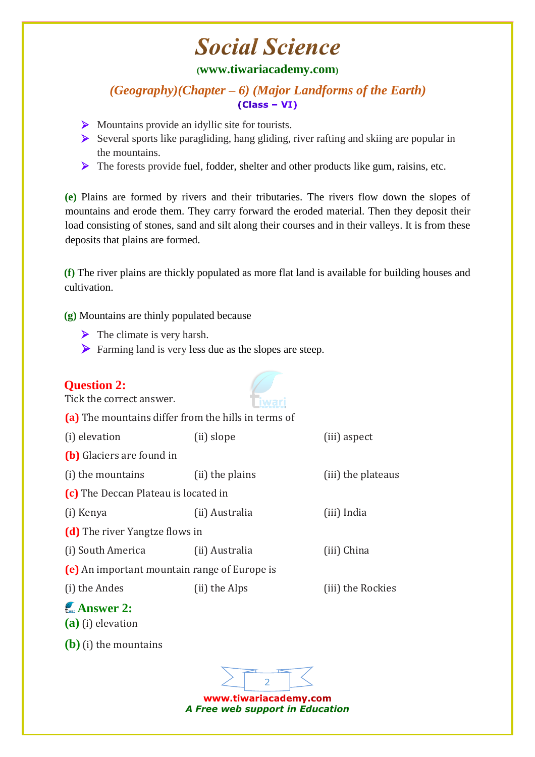# **Social Science**

## **([www.tiwariacademy.com](http://www.tiwariacademy.com/))**

*(Geography)(Chapter – 6) (Major Landforms of the Earth)*   $(Class - VI)$ 

- Mountains provide an idyllic site for tourists.
- $\triangleright$  Several sports like paragliding, hang gliding, river rafting and skiing are popular in the mountains.
- $\triangleright$  The forests provide fuel, fodder, shelter and other products like gum, raisins, etc.

**(e)** Plains are formed by rivers and their tributaries. The rivers flow down the slopes of mountains and erode them. They carry forward the eroded material. Then they deposit their load consisting of stones, sand and silt along their courses and in their valleys. It is from these deposits that plains are formed.

**(f)** The river plains are thickly populated as more flat land is available for building houses and cultivation.

**(g)** Mountains are thinly populated because

- $\triangleright$  The climate is very harsh.
- Farming land is very less due as the slopes are steep.

| <b>Question 2:</b><br>Tick the correct answer.      |                 |                    |
|-----------------------------------------------------|-----------------|--------------------|
| (a) The mountains differ from the hills in terms of |                 |                    |
| (i) elevation                                       | (ii) slope      | (iii) aspect       |
| (b) Glaciers are found in                           |                 |                    |
| (i) the mountains                                   | (ii) the plains | (iii) the plateaus |
| (c) The Deccan Plateau is located in                |                 |                    |
| (i) Kenya                                           | (ii) Australia  | (iii) India        |
| (d) The river Yangtze flows in                      |                 |                    |
| (i) South America                                   | (ii) Australia  | (iii) China        |
| (e) An important mountain range of Europe is        |                 |                    |
| (i) the Andes                                       | (ii) the Alps   | (iii) the Rockies  |
| $\mathcal{L}$ Answer 2:<br>$(a)$ (i) elevation      |                 |                    |
| $(b)$ (i) the mountains                             |                 |                    |
|                                                     |                 |                    |

www.tiwariacademy.com *A Free web support in Education*